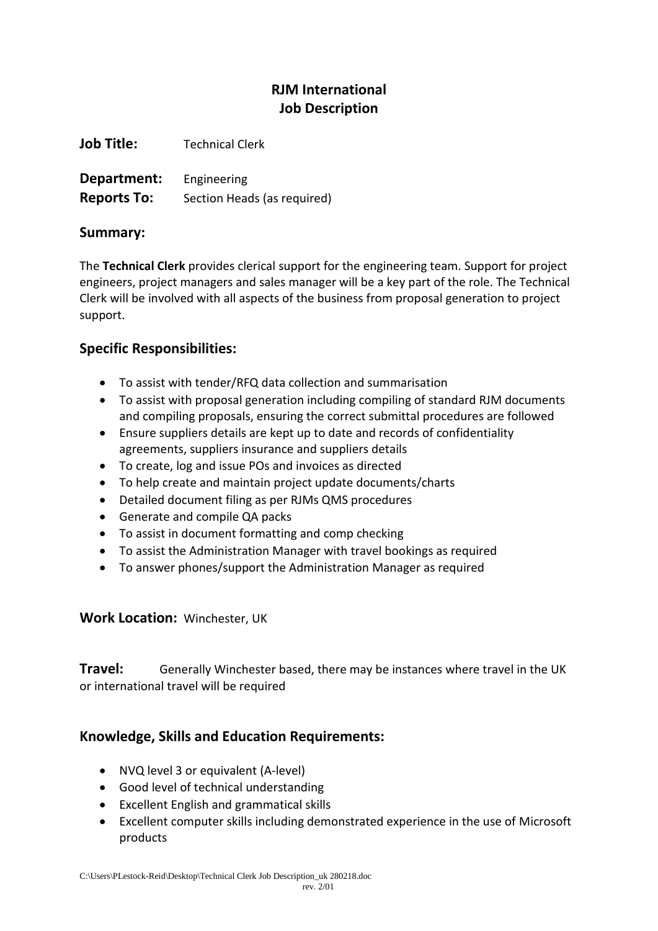# **RJM International Job Description**

**Job Title:** Technical Clerk

**Department:** Engineering **Reports To:** Section Heads (as required)

#### **Summary:**

The **Technical Clerk** provides clerical support for the engineering team. Support for project engineers, project managers and sales manager will be a key part of the role. The Technical Clerk will be involved with all aspects of the business from proposal generation to project support.

## **Specific Responsibilities:**

- To assist with tender/RFQ data collection and summarisation
- To assist with proposal generation including compiling of standard RJM documents and compiling proposals, ensuring the correct submittal procedures are followed
- Ensure suppliers details are kept up to date and records of confidentiality agreements, suppliers insurance and suppliers details
- To create, log and issue POs and invoices as directed
- To help create and maintain project update documents/charts
- Detailed document filing as per RJMs QMS procedures
- Generate and compile QA packs
- To assist in document formatting and comp checking
- To assist the Administration Manager with travel bookings as required
- To answer phones/support the Administration Manager as required

### **Work Location:** Winchester, UK

**Travel:** Generally Winchester based, there may be instances where travel in the UK or international travel will be required

### **Knowledge, Skills and Education Requirements:**

- NVQ level 3 or equivalent (A-level)
- Good level of technical understanding
- Excellent English and grammatical skills
- Excellent computer skills including demonstrated experience in the use of Microsoft products